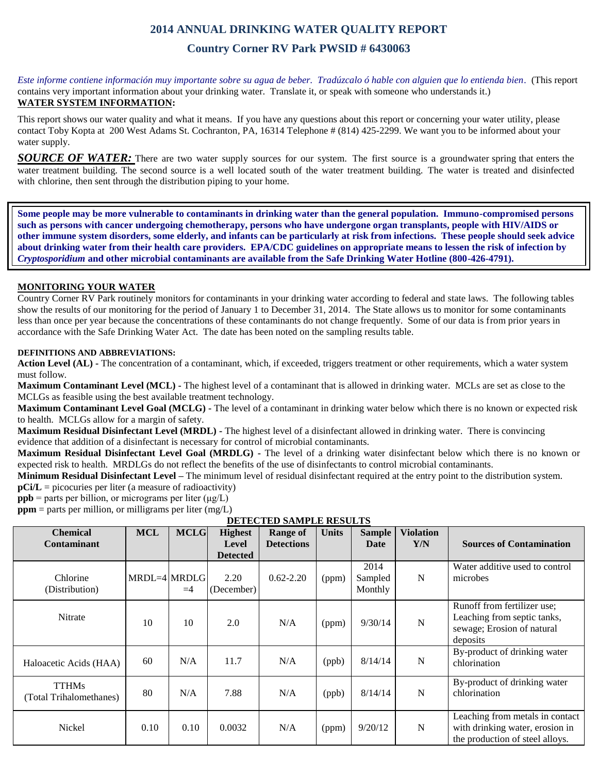# **2014 ANNUAL DRINKING WATER QUALITY REPORT**

## **Country Corner RV Park PWSID # 6430063**

*Este informe contiene información muy importante sobre su agua de beber. Tradúzcalo ó hable con alguien que lo entienda bien.* (This report contains very important information about your drinking water. Translate it, or speak with someone who understands it.) **WATER SYSTEM INFORMATION:**

This report shows our water quality and what it means. If you have any questions about this report or concerning your water utility, please contact Toby Kopta at 200 West Adams St. Cochranton, PA, 16314 Telephone # (814) 425-2299. We want you to be informed about your water supply.

*SOURCE OF WATER:* There are two water supply sources for our system. The first source is a groundwater spring that enters the water treatment building. The second source is a well located south of the water treatment building. The water is treated and disinfected with chlorine, then sent through the distribution piping to your home.

**Some people may be more vulnerable to contaminants in drinking water than the general population. Immuno-compromised persons such as persons with cancer undergoing chemotherapy, persons who have undergone organ transplants, people with HIV/AIDS or other immune system disorders, some elderly, and infants can be particularly at risk from infections. These people should seek advice about drinking water from their health care providers. EPA/CDC guidelines on appropriate means to lessen the risk of infection by**  *Cryptosporidium* **and other microbial contaminants are available from the Safe Drinking Water Hotline (800-426-4791).**

### **MONITORING YOUR WATER**

Country Corner RV Park routinely monitors for contaminants in your drinking water according to federal and state laws. The following tables show the results of our monitoring for the period of January 1 to December 31, 2014. The State allows us to monitor for some contaminants less than once per year because the concentrations of these contaminants do not change frequently. Some of our data is from prior years in accordance with the Safe Drinking Water Act. The date has been noted on the sampling results table.

#### **DEFINITIONS AND ABBREVIATIONS:**

**Action Level (AL) -** The concentration of a contaminant, which, if exceeded, triggers treatment or other requirements, which a water system must follow.

**Maximum Contaminant Level (MCL) -** The highest level of a contaminant that is allowed in drinking water. MCLs are set as close to the MCLGs as feasible using the best available treatment technology.

**Maximum Contaminant Level Goal (MCLG) -** The level of a contaminant in drinking water below which there is no known or expected risk to health. MCLGs allow for a margin of safety.

**Maximum Residual Disinfectant Level (MRDL) -** The highest level of a disinfectant allowed in drinking water. There is convincing evidence that addition of a disinfectant is necessary for control of microbial contaminants.

**Maximum Residual Disinfectant Level Goal (MRDLG) -** The level of a drinking water disinfectant below which there is no known or expected risk to health. MRDLGs do not reflect the benefits of the use of disinfectants to control microbial contaminants.

**Minimum Residual Disinfectant Level –** The minimum level of residual disinfectant required at the entry point to the distribution system.

**pCi/L** = picocuries per liter (a measure of radioactivity)

**ppb** = parts per billion, or micrograms per liter  $(\mu g/L)$ 

**ppm** = parts per million, or milligrams per liter (mg/L)

| <b>Chemical</b><br><b>Contaminant</b>   | <b>MCL</b>   | <b>MCLG</b> | <b>Highest</b><br>Level<br><b>Detected</b> | <b>Range of</b><br><b>Detections</b> | <b>Units</b> | <b>Sample</b><br>Date      | <b>Violation</b><br>Y/N | <b>Sources of Contamination</b>                                                                       |
|-----------------------------------------|--------------|-------------|--------------------------------------------|--------------------------------------|--------------|----------------------------|-------------------------|-------------------------------------------------------------------------------------------------------|
| Chlorine<br>(Distribution)              | MRDL=4 MRDLG | $=4$        | 2.20<br>(December)                         | $0.62 - 2.20$                        | (ppm)        | 2014<br>Sampled<br>Monthly | N                       | Water additive used to control<br>microbes                                                            |
| Nitrate                                 | 10           | 10          | 2.0                                        | N/A                                  | (ppm)        | 9/30/14                    | $\mathbf N$             | Runoff from fertilizer use;<br>Leaching from septic tanks,<br>sewage; Erosion of natural<br>deposits  |
| Haloacetic Acids (HAA)                  | 60           | N/A         | 11.7                                       | N/A                                  | (ppb)        | 8/14/14                    | $\mathbf N$             | By-product of drinking water<br>chlorination                                                          |
| <b>TTHMs</b><br>(Total Trihalomethanes) | 80           | N/A         | 7.88                                       | N/A                                  | (ppb)        | 8/14/14                    | N                       | By-product of drinking water<br>chlorination                                                          |
| Nickel                                  | 0.10         | 0.10        | 0.0032                                     | N/A                                  | (ppm)        | 9/20/12                    | $\mathbf N$             | Leaching from metals in contact<br>with drinking water, erosion in<br>the production of steel alloys. |

**DETECTED SAMPLE RESULTS**